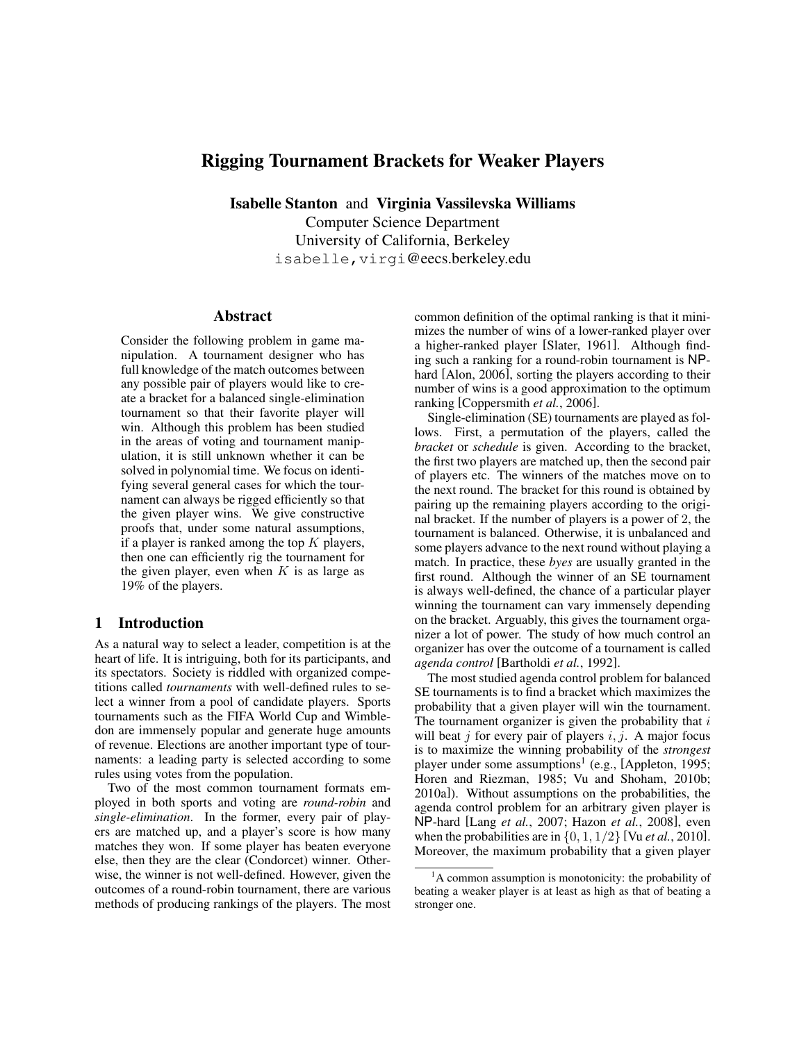# Rigging Tournament Brackets for Weaker Players

Isabelle Stanton and Virginia Vassilevska Williams Computer Science Department University of California, Berkeley isabelle,virgi@eecs.berkeley.edu

#### Abstract

Consider the following problem in game manipulation. A tournament designer who has full knowledge of the match outcomes between any possible pair of players would like to create a bracket for a balanced single-elimination tournament so that their favorite player will win. Although this problem has been studied in the areas of voting and tournament manipulation, it is still unknown whether it can be solved in polynomial time. We focus on identifying several general cases for which the tournament can always be rigged efficiently so that the given player wins. We give constructive proofs that, under some natural assumptions, if a player is ranked among the top  $K$  players, then one can efficiently rig the tournament for the given player, even when  $K$  is as large as 19% of the players.

# 1 Introduction

As a natural way to select a leader, competition is at the heart of life. It is intriguing, both for its participants, and its spectators. Society is riddled with organized competitions called *tournaments* with well-defined rules to select a winner from a pool of candidate players. Sports tournaments such as the FIFA World Cup and Wimbledon are immensely popular and generate huge amounts of revenue. Elections are another important type of tournaments: a leading party is selected according to some rules using votes from the population.

Two of the most common tournament formats employed in both sports and voting are *round-robin* and *single-elimination*. In the former, every pair of players are matched up, and a player's score is how many matches they won. If some player has beaten everyone else, then they are the clear (Condorcet) winner. Otherwise, the winner is not well-defined. However, given the outcomes of a round-robin tournament, there are various methods of producing rankings of the players. The most common definition of the optimal ranking is that it minimizes the number of wins of a lower-ranked player over a higher-ranked player [Slater, 1961]. Although finding such a ranking for a round-robin tournament is NPhard [Alon, 2006], sorting the players according to their number of wins is a good approximation to the optimum ranking [Coppersmith *et al.*, 2006].

Single-elimination (SE) tournaments are played as follows. First, a permutation of the players, called the *bracket* or *schedule* is given. According to the bracket, the first two players are matched up, then the second pair of players etc. The winners of the matches move on to the next round. The bracket for this round is obtained by pairing up the remaining players according to the original bracket. If the number of players is a power of 2, the tournament is balanced. Otherwise, it is unbalanced and some players advance to the next round without playing a match. In practice, these *byes* are usually granted in the first round. Although the winner of an SE tournament is always well-defined, the chance of a particular player winning the tournament can vary immensely depending on the bracket. Arguably, this gives the tournament organizer a lot of power. The study of how much control an organizer has over the outcome of a tournament is called *agenda control* [Bartholdi *et al.*, 1992].

The most studied agenda control problem for balanced SE tournaments is to find a bracket which maximizes the probability that a given player will win the tournament. The tournament organizer is given the probability that  $i$ will beat j for every pair of players  $i, j$ . A major focus is to maximize the winning probability of the *strongest* player under some assumptions<sup>1</sup> (e.g., [Appleton, 1995; Horen and Riezman, 1985; Vu and Shoham, 2010b; 2010a]). Without assumptions on the probabilities, the agenda control problem for an arbitrary given player is NP-hard [Lang *et al.*, 2007; Hazon *et al.*, 2008], even when the probabilities are in  $\{0, 1, 1/2\}$  [Vu *et al.*, 2010]. Moreover, the maximum probability that a given player

<sup>&</sup>lt;sup>1</sup>A common assumption is monotonicity: the probability of beating a weaker player is at least as high as that of beating a stronger one.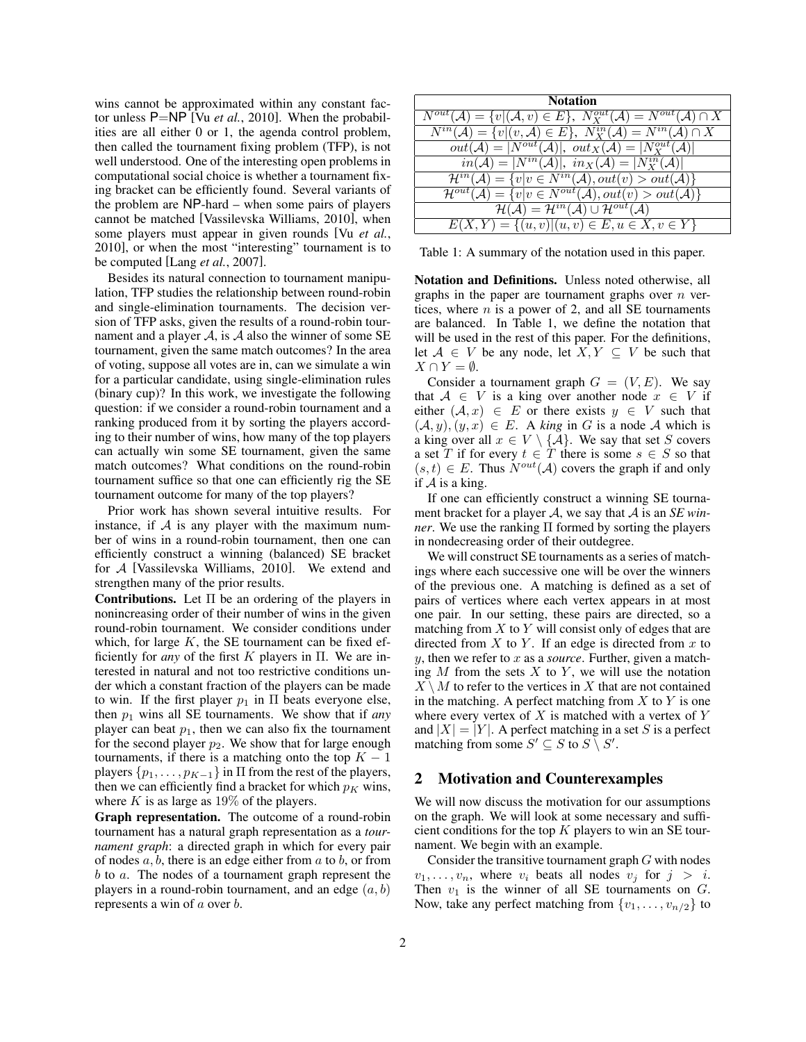wins cannot be approximated within any constant factor unless P=NP [Vu *et al.*, 2010]. When the probabilities are all either 0 or 1, the agenda control problem, then called the tournament fixing problem (TFP), is not well understood. One of the interesting open problems in computational social choice is whether a tournament fixing bracket can be efficiently found. Several variants of the problem are NP-hard – when some pairs of players cannot be matched [Vassilevska Williams, 2010], when some players must appear in given rounds [Vu *et al.*, 2010], or when the most "interesting" tournament is to be computed [Lang *et al.*, 2007].

Besides its natural connection to tournament manipulation, TFP studies the relationship between round-robin and single-elimination tournaments. The decision version of TFP asks, given the results of a round-robin tournament and a player  $\mathcal{A}$ , is  $\mathcal A$  also the winner of some SE tournament, given the same match outcomes? In the area of voting, suppose all votes are in, can we simulate a win for a particular candidate, using single-elimination rules (binary cup)? In this work, we investigate the following question: if we consider a round-robin tournament and a ranking produced from it by sorting the players according to their number of wins, how many of the top players can actually win some SE tournament, given the same match outcomes? What conditions on the round-robin tournament suffice so that one can efficiently rig the SE tournament outcome for many of the top players?

Prior work has shown several intuitive results. For instance, if  $A$  is any player with the maximum number of wins in a round-robin tournament, then one can efficiently construct a winning (balanced) SE bracket for A [Vassilevska Williams, 2010]. We extend and strengthen many of the prior results.

Contributions. Let  $\Pi$  be an ordering of the players in nonincreasing order of their number of wins in the given round-robin tournament. We consider conditions under which, for large  $K$ , the SE tournament can be fixed efficiently for *any* of the first K players in Π. We are interested in natural and not too restrictive conditions under which a constant fraction of the players can be made to win. If the first player  $p_1$  in  $\Pi$  beats everyone else, then  $p_1$  wins all SE tournaments. We show that if *any* player can beat  $p_1$ , then we can also fix the tournament for the second player  $p_2$ . We show that for large enough tournaments, if there is a matching onto the top  $K - 1$ players  $\{p_1, \ldots, p_{K-1}\}\$  in  $\Pi$  from the rest of the players, then we can efficiently find a bracket for which  $p<sub>K</sub>$  wins, where  $K$  is as large as 19% of the players.

Graph representation. The outcome of a round-robin tournament has a natural graph representation as a *tournament graph*: a directed graph in which for every pair of nodes  $a, b$ , there is an edge either from  $a$  to  $b$ , or from b to a. The nodes of a tournament graph represent the players in a round-robin tournament, and an edge  $(a, b)$ represents a win of a over b.

| <b>Notation</b>                                                                                                   |
|-------------------------------------------------------------------------------------------------------------------|
| $N^{out}(\mathcal{A}) = \{v   (\mathcal{A}, v) \in E\},\,\, N_X^{out}(\mathcal{A}) = N^{out}(\mathcal{A}) \cap X$ |
| $N^{in}(\mathcal{A}) = \{v   (v, \mathcal{A}) \in E\},\ N_X^{in}(\mathcal{A}) = N^{in}(\mathcal{A}) \cap X$       |
| $out(\mathcal{A}) =  N^{out}(\mathcal{A}) , out_X(\mathcal{A}) =  N_X^{out}(\mathcal{A}) $                        |
| $in(\mathcal{A}) =  N^{in}(\mathcal{A}) , \ in_X(\mathcal{A}) =  N_X^{in}(\mathcal{A}) $                          |
| $\mathcal{H}^{in}(\mathcal{A}) = \{v v \in N^{in}(\mathcal{A}), out(v) > out(\mathcal{A})\}\$                     |
| $\mathcal{H}^{out}(\mathcal{A}) = \{v v \in N^{out}(\mathcal{A}), out(v) > out(\mathcal{A})\}\$                   |
| $\mathcal{H}(\mathcal{A})=\mathcal{H}^{in}(\mathcal{A})\cup\mathcal{H}^{out}(\mathcal{A})$                        |
| $E(X, Y) = \{(u, v)   (u, v) \in E, u \in X, v \in Y\}$                                                           |

Table 1: A summary of the notation used in this paper.

Notation and Definitions. Unless noted otherwise, all graphs in the paper are tournament graphs over  $n$  vertices, where  $n$  is a power of 2, and all SE tournaments are balanced. In Table 1, we define the notation that will be used in the rest of this paper. For the definitions, let  $A \in V$  be any node, let  $X, Y \subseteq V$  be such that  $X \cap Y = \emptyset$ .

Consider a tournament graph  $G = (V, E)$ . We say that  $A \in V$  is a king over another node  $x \in V$  if either  $(A, x) \in E$  or there exists  $y \in V$  such that  $(A, y), (y, x) \in E$ . A *king* in G is a node A which is a king over all  $x \in V \setminus \{A\}$ . We say that set S covers a set T if for every  $t \in T$  there is some  $s \in S$  so that  $(s, t) \in E$ . Thus  $N^{out}(\mathcal{A})$  covers the graph if and only if  $A$  is a king.

If one can efficiently construct a winning SE tournament bracket for a player A, we say that A is an *SE winner*. We use the ranking Π formed by sorting the players in nondecreasing order of their outdegree.

We will construct SE tournaments as a series of matchings where each successive one will be over the winners of the previous one. A matching is defined as a set of pairs of vertices where each vertex appears in at most one pair. In our setting, these pairs are directed, so a matching from  $X$  to  $Y$  will consist only of edges that are directed from  $X$  to  $Y$ . If an edge is directed from  $x$  to y, then we refer to x as a *source*. Further, given a matching  $M$  from the sets  $X$  to  $Y$ , we will use the notation  $X \setminus M$  to refer to the vertices in X that are not contained in the matching. A perfect matching from  $X$  to  $Y$  is one where every vertex of  $X$  is matched with a vertex of  $Y$ and  $|X| = |Y|$ . A perfect matching in a set S is a perfect matching from some  $S' \subseteq S$  to  $S \setminus S'$ .

### 2 Motivation and Counterexamples

We will now discuss the motivation for our assumptions on the graph. We will look at some necessary and sufficient conditions for the top  $K$  players to win an SE tournament. We begin with an example.

Consider the transitive tournament graph  $G$  with nodes  $v_1, \ldots, v_n$ , where  $v_i$  beats all nodes  $v_j$  for  $j > i$ . Then  $v_1$  is the winner of all SE tournaments on  $G$ . Now, take any perfect matching from  $\{v_1, \ldots, v_{n/2}\}$  to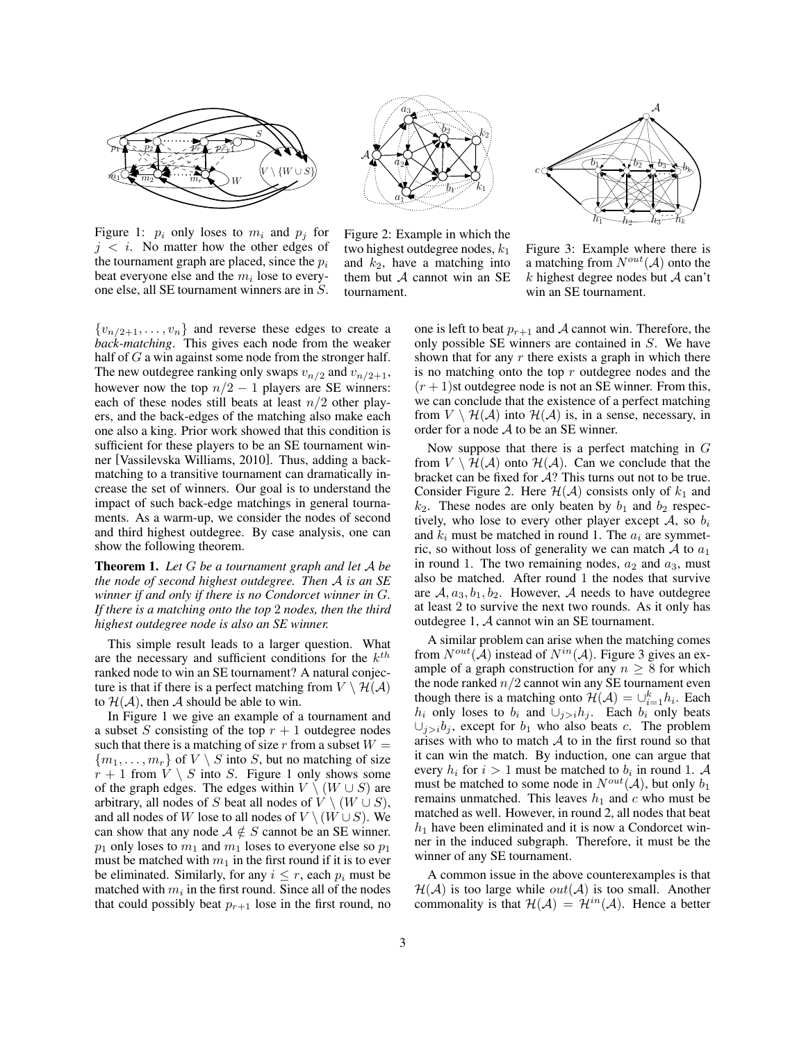

Figure 1:  $p_i$  only loses to  $m_i$  and  $p_j$  for  $j \lt i$ . No matter how the other edges of the tournament graph are placed, since the  $p_i$ beat everyone else and the  $m_i$  lose to everyone else, all SE tournament winners are in S.



Figure 2: Example in which the two highest outdegree nodes,  $k_1$ and  $k_2$ , have a matching into them but  $A$  cannot win an SE tournament.



Figure 3: Example where there is a matching from  $N^{out}(\mathcal{A})$  onto the  $k$  highest degree nodes but  $A$  can't win an SE tournament.

 ${v_{n/2+1}, \ldots, v_n}$  and reverse these edges to create a *back-matching*. This gives each node from the weaker half of  $G$  a win against some node from the stronger half. The new outdegree ranking only swaps  $v_{n/2}$  and  $v_{n/2+1}$ , however now the top  $n/2 - 1$  players are SE winners: each of these nodes still beats at least  $n/2$  other players, and the back-edges of the matching also make each one also a king. Prior work showed that this condition is sufficient for these players to be an SE tournament winner [Vassilevska Williams, 2010]. Thus, adding a backmatching to a transitive tournament can dramatically increase the set of winners. Our goal is to understand the impact of such back-edge matchings in general tournaments. As a warm-up, we consider the nodes of second and third highest outdegree. By case analysis, one can show the following theorem.

Theorem 1. *Let* G *be a tournament graph and let* A *be the node of second highest outdegree. Then* A *is an SE winner if and only if there is no Condorcet winner in* G*. If there is a matching onto the top* 2 *nodes, then the third highest outdegree node is also an SE winner.*

This simple result leads to a larger question. What are the necessary and sufficient conditions for the  $k^{th}$ ranked node to win an SE tournament? A natural conjecture is that if there is a perfect matching from  $V \setminus H(A)$ to  $\mathcal{H}(\mathcal{A})$ , then A should be able to win.

In Figure 1 we give an example of a tournament and a subset S consisting of the top  $r + 1$  outdegree nodes such that there is a matching of size r from a subset  $W =$  ${m_1, \ldots, m_r}$  of  $V \setminus S$  into S, but no matching of size  $r + 1$  from  $V \setminus S$  into S. Figure 1 only shows some of the graph edges. The edges within  $V \setminus (W \cup S)$  are arbitrary, all nodes of S beat all nodes of  $V \setminus (W \cup S)$ , and all nodes of W lose to all nodes of  $V \setminus (W \cup S)$ . We can show that any node  $A \notin S$  cannot be an SE winner.  $p_1$  only loses to  $m_1$  and  $m_1$  loses to everyone else so  $p_1$ must be matched with  $m_1$  in the first round if it is to ever be eliminated. Similarly, for any  $i \leq r$ , each  $p_i$  must be matched with  $m_i$  in the first round. Since all of the nodes that could possibly beat  $p_{r+1}$  lose in the first round, no one is left to beat  $p_{r+1}$  and A cannot win. Therefore, the only possible SE winners are contained in S. We have shown that for any  $r$  there exists a graph in which there is no matching onto the top  $r$  outdegree nodes and the  $(r + 1)$ st outdegree node is not an SE winner. From this, we can conclude that the existence of a perfect matching from  $V \setminus H(A)$  into  $H(A)$  is, in a sense, necessary, in order for a node A to be an SE winner.

Now suppose that there is a perfect matching in  $G$ from  $V \setminus \mathcal{H}(\mathcal{A})$  onto  $\mathcal{H}(\mathcal{A})$ . Can we conclude that the bracket can be fixed for  $A$ ? This turns out not to be true. Consider Figure 2. Here  $H(A)$  consists only of  $k_1$  and  $k_2$ . These nodes are only beaten by  $b_1$  and  $b_2$  respectively, who lose to every other player except  $A$ , so  $b_i$ and  $k_i$  must be matched in round 1. The  $a_i$  are symmetric, so without loss of generality we can match  $A$  to  $a_1$ in round 1. The two remaining nodes,  $a_2$  and  $a_3$ , must also be matched. After round 1 the nodes that survive are  $A, a_3, b_1, b_2$ . However, A needs to have outdegree at least 2 to survive the next two rounds. As it only has outdegree 1, A cannot win an SE tournament.

A similar problem can arise when the matching comes from  $N^{out}(\mathcal{A})$  instead of  $N^{in}(\mathcal{A})$ . Figure 3 gives an example of a graph construction for any  $n \geq 8$  for which the node ranked  $n/2$  cannot win any SE tournament even though there is a matching onto  $\mathcal{H}(\mathcal{A}) = \bigcup_{i=1}^{k} h_i$ . Each  $h_i$  only loses to  $b_i$  and  $\cup_{j>i}h_j$ . Each  $b_i$  only beats  $\cup_{i>i}b_i$ , except for  $b_1$  who also beats c. The problem arises with who to match  $A$  to in the first round so that it can win the match. By induction, one can argue that every  $h_i$  for  $i > 1$  must be matched to  $b_i$  in round 1. A must be matched to some node in  $N^{out}(\mathcal{A})$ , but only  $b_1$ remains unmatched. This leaves  $h_1$  and c who must be matched as well. However, in round 2, all nodes that beat  $h_1$  have been eliminated and it is now a Condorcet winner in the induced subgraph. Therefore, it must be the winner of any SE tournament.

A common issue in the above counterexamples is that  $\mathcal{H}(\mathcal{A})$  is too large while  $out(\mathcal{A})$  is too small. Another commonality is that  $\mathcal{H}(\mathcal{A}) = \mathcal{H}^{in}(\mathcal{A})$ . Hence a better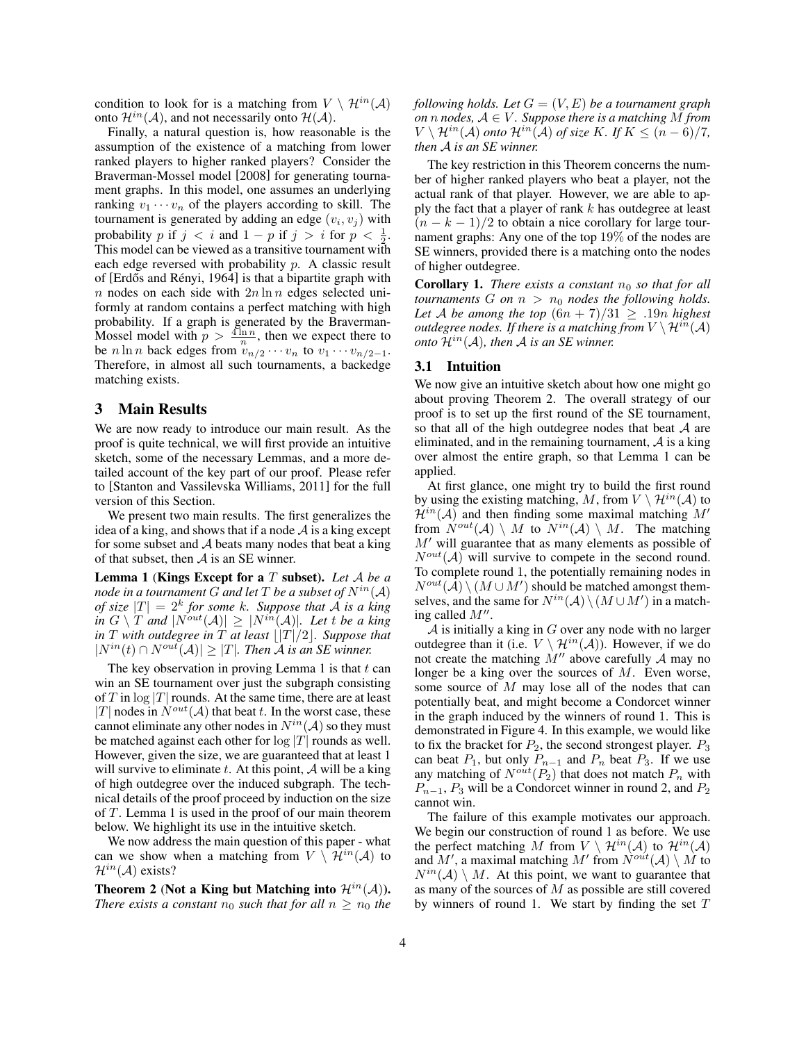condition to look for is a matching from  $V \setminus \mathcal{H}^{in}(\mathcal{A})$ onto  $\mathcal{H}^{in}(\mathcal{A})$ , and not necessarily onto  $\mathcal{H}(\mathcal{A})$ .

Finally, a natural question is, how reasonable is the assumption of the existence of a matching from lower ranked players to higher ranked players? Consider the Braverman-Mossel model [2008] for generating tournament graphs. In this model, one assumes an underlying ranking  $v_1 \cdots v_n$  of the players according to skill. The tournament is generated by adding an edge  $(v_i, v_j)$  with probability p if  $j < i$  and  $1 - p$  if  $j > i$  for  $p < \frac{1}{2}$ . This model can be viewed as a transitive tournament with each edge reversed with probability p. A classic result of [Erdős and Rényi, 1964] is that a bipartite graph with n nodes on each side with  $2n \ln n$  edges selected uniformly at random contains a perfect matching with high probability. If a graph is generated by the Braverman-Mossel model with  $p > \frac{4 \ln n}{n}$ , then we expect there to be  $n \ln n$  back edges from  $v_{n/2} \cdots v_n$  to  $v_1 \cdots v_{n/2-1}$ . Therefore, in almost all such tournaments, a backedge matching exists.

#### 3 Main Results

We are now ready to introduce our main result. As the proof is quite technical, we will first provide an intuitive sketch, some of the necessary Lemmas, and a more detailed account of the key part of our proof. Please refer to [Stanton and Vassilevska Williams, 2011] for the full version of this Section.

We present two main results. The first generalizes the idea of a king, and shows that if a node  $A$  is a king except for some subset and  $A$  beats many nodes that beat a king of that subset, then  $A$  is an SE winner.

Lemma 1 (Kings Except for a T subset). *Let* A *be a node in a tournament* G *and let* T *be a subset of*  $N^{in}(\mathcal{A})$ *of size*  $|T| = 2^k$  *for some* k*. Suppose that A is a king in*  $G \setminus T$  *and*  $|N^{out}(\mathcal{A})| \geq |N^{in}(\mathcal{A})|$ *. Let t be a king in*  $T$  *with outdegree in*  $\overline{T}$  *at least*  $\lfloor |T|/2 \rfloor$ *. Suppose that*  $|N^{in}(t) ∩ N^{out}(A)| ≥ |T|$ *. Then A is an SE winner.* 

The key observation in proving Lemma 1 is that  $t$  can win an SE tournament over just the subgraph consisting of T in  $\log |T|$  rounds. At the same time, there are at least |T| nodes in  $N^{out}(\mathcal{A})$  that beat t. In the worst case, these cannot eliminate any other nodes in  $N^{in}(\mathcal{A})$  so they must be matched against each other for  $log |T|$  rounds as well. However, given the size, we are guaranteed that at least 1 will survive to eliminate  $t$ . At this point,  $\mathcal A$  will be a king of high outdegree over the induced subgraph. The technical details of the proof proceed by induction on the size of T. Lemma 1 is used in the proof of our main theorem below. We highlight its use in the intuitive sketch.

We now address the main question of this paper - what can we show when a matching from  $V \setminus \mathcal{H}^{in}(\mathcal{A})$  to  $\mathcal{H}^{in}(\mathcal{A})$  exists?

Theorem 2 (Not a King but Matching into  $\mathcal{H}^{in}(\mathcal{A})$ ). *There exists a constant*  $n_0$  *such that for all*  $n \geq n_0$  *the*  *following holds. Let*  $G = (V, E)$  *be a tournament graph on n nodes*,  $A \in V$ *. Suppose there is a matching* M *from*  $V \setminus \mathcal{H}^{in}(\mathcal{A})$  *onto*  $\mathcal{H}^{in}(\mathcal{A})$  *of size* K*.* If  $K \leq (n-6)/7$ , *then* A *is an SE winner.*

The key restriction in this Theorem concerns the number of higher ranked players who beat a player, not the actual rank of that player. However, we are able to apply the fact that a player of rank  $k$  has outdegree at least  $(n - k - 1)/2$  to obtain a nice corollary for large tournament graphs: Any one of the top 19% of the nodes are SE winners, provided there is a matching onto the nodes of higher outdegree.

**Corollary 1.** *There exists a constant*  $n_0$  *so that for all tournaments* G *on*  $n > n_0$  *nodes the following holds. Let* A *be among the top*  $(6n + 7)/31 \geq .19n$  *highest outdegree nodes. If there is a matching from*  $V \setminus \mathcal{H}^{in}(\mathcal{A})$ *onto*  $\mathcal{H}^{in}(\mathcal{A})$ *, then*  $\mathcal{A}$  *is an SE winner.* 

#### 3.1 Intuition

We now give an intuitive sketch about how one might go about proving Theorem 2. The overall strategy of our proof is to set up the first round of the SE tournament, so that all of the high outdegree nodes that beat  $A$  are eliminated, and in the remaining tournament,  $\mathcal A$  is a king over almost the entire graph, so that Lemma 1 can be applied.

At first glance, one might try to build the first round by using the existing matching, M, from  $V \setminus \mathcal{H}^{in}(\mathcal{A})$  to  $\mathcal{H}^{in}(\mathcal{A})$  and then finding some maximal matching M' from  $N^{out}(\mathcal{A}) \setminus M$  to  $N^{in}(\mathcal{A}) \setminus M$ . The matching  $M'$  will guarantee that as many elements as possible of  $N^{out}(\mathcal{A})$  will survive to compete in the second round. To complete round 1, the potentially remaining nodes in  $N^{out}(\hat{\mathcal{A}}) \setminus (M \cup M')$  should be matched amongst themselves, and the same for  $N^{in}(\mathcal{A}) \setminus (M \cup M')$  in a matching called  $M''$ .

 $A$  is initially a king in  $G$  over any node with no larger outdegree than it (i.e.  $V \setminus \mathcal{H}^{in}(\mathcal{A})$ ). However, if we do not create the matching  $\dot{M}''$  above carefully  $\mathcal A$  may no longer be a king over the sources of  $M$ . Even worse, some source of M may lose all of the nodes that can potentially beat, and might become a Condorcet winner in the graph induced by the winners of round 1. This is demonstrated in Figure 4. In this example, we would like to fix the bracket for  $P_2$ , the second strongest player.  $P_3$ can beat  $P_1$ , but only  $P_{n-1}$  and  $P_n$  beat  $P_3$ . If we use any matching of  $N^{out}(P_2)$  that does not match  $P_n$  with  $P_{n-1}$ ,  $P_3$  will be a Condorcet winner in round 2, and  $P_2$ cannot win.

The failure of this example motivates our approach. We begin our construction of round 1 as before. We use the perfect matching M from  $V \setminus \mathcal{H}^{in}(\mathcal{A})$  to  $\mathcal{H}^{in}(\mathcal{A})$ <br>and M', a maximal matching M' from  $N^{out}(\mathcal{A}) \setminus M$  to  $N^{in}(\mathcal{A}) \setminus M$ . At this point, we want to guarantee that as many of the sources of M as possible are still covered by winners of round 1. We start by finding the set  $T$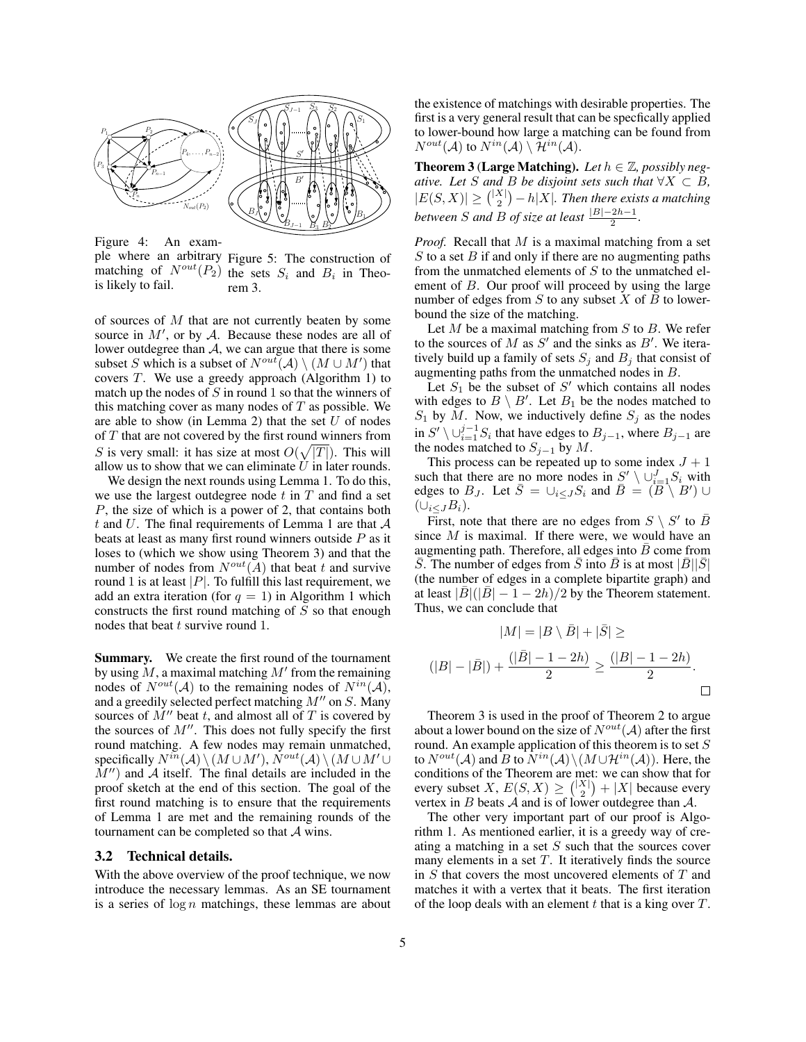

Figure 4: An example where an arbitrary Figure 5: The construction of matching of  $N^{out}(P_2)$  the sets  $S_i$  and  $B_i$  in Theois likely to fail. rem 3.

of sources of  $M$  that are not currently beaten by some source in  $M'$ , or by  $A$ . Because these nodes are all of lower outdegree than  $A$ , we can argue that there is some subset S which is a subset of  $N^{out}(\mathcal{A}) \setminus (M \cup M')$  that covers T. We use a greedy approach (Algorithm 1) to match up the nodes of  $S$  in round 1 so that the winners of this matching cover as many nodes of  $T$  as possible. We are able to show (in Lemma 2) that the set  $U$  of nodes of T that are not covered by the first round winners from S is very small: it has size at most  $O(\sqrt{|T|})$ . This will allow us to show that we can eliminate  $\bar{U}$  in later rounds.

We design the next rounds using Lemma 1. To do this, we use the largest outdegree node  $t$  in  $T$  and find a set P, the size of which is a power of 2, that contains both t and U. The final requirements of Lemma 1 are that  $A$ beats at least as many first round winners outside P as it loses to (which we show using Theorem 3) and that the number of nodes from  $N^{out}(\overline{A})$  that beat t and survive round 1 is at least  $|P|$ . To fulfill this last requirement, we add an extra iteration (for  $q = 1$ ) in Algorithm 1 which constructs the first round matching of  $S$  so that enough nodes that beat t survive round 1.

Summary. We create the first round of the tournament by using  $\dot{M}$ , a maximal matching  $M'$  from the remaining nodes of  $N^{out}(\mathcal{A})$  to the remaining nodes of  $N^{in}(\mathcal{A})$ , and a greedily selected perfect matching  $M''$  on S. Many sources of  $M''$  beat t, and almost all of T is covered by the sources of  $M''$ . This does not fully specify the first round matching. A few nodes may remain unmatched, specifically  $N^{in}(A) \setminus (M \cup M')$ ,  $N^{out}(A) \setminus (M \cup M' \cup$  $M''$ ) and A itself. The final details are included in the proof sketch at the end of this section. The goal of the first round matching is to ensure that the requirements of Lemma 1 are met and the remaining rounds of the tournament can be completed so that  $A$  wins.

#### 3.2 Technical details.

With the above overview of the proof technique, we now introduce the necessary lemmas. As an SE tournament is a series of  $log n$  matchings, these lemmas are about the existence of matchings with desirable properties. The first is a very general result that can be specfically applied to lower-bound how large a matching can be found from  $N^{out}(\mathcal{A})$  to  $N^{in}(\mathcal{A}) \setminus \mathcal{H}^{in}(\mathcal{A})$ .

**Theorem 3 (Large Matching).** Let  $h \in \mathbb{Z}$ , possibly neg*ative. Let S and B be disjoint sets such that*  $\forall X \subset B$ *,*  $|E(S, X)| \geq {\binom{|X|}{2}} - h|X|$ . Then there exists a matching *between S and B of size at least*  $\frac{|B|-2h-1}{2}$ .

*Proof.* Recall that M is a maximal matching from a set  $S$  to a set  $B$  if and only if there are no augmenting paths from the unmatched elements of S to the unmatched element of  $B$ . Our proof will proceed by using the large number of edges from  $S$  to any subset  $X$  of  $B$  to lowerbound the size of the matching.

Let  $M$  be a maximal matching from  $S$  to  $B$ . We refer to the sources of M as  $S'$  and the sinks as  $B'$ . We iteratively build up a family of sets  $S_j$  and  $B_j$  that consist of augmenting paths from the unmatched nodes in B.

Let  $S_1$  be the subset of  $S'$  which contains all nodes with edges to  $B \setminus B'$ . Let  $B_1$  be the nodes matched to  $S_1$  by M. Now, we inductively define  $S_j$  as the nodes in  $S' \setminus \bigcup_{i=1}^{j-1} S_i$  that have edges to  $B_{j-1}$ , where  $B_{j-1}$  are the nodes matched to  $S_{j-1}$  by  $M$ .

This process can be repeated up to some index  $J + 1$ such that there are no more nodes in  $S' \setminus \cup_{i=1}^{J} S_i$  with edges to  $B_J$ . Let  $\overline{S} = \bigcup_{i \leq J} S_i$  and  $\overline{B} = (\overline{B} \setminus B') \cup$  $(\cup_{i\leq J}B_i).$ 

First, note that there are no edges from  $S \setminus S'$  to  $\overline{B}$ since  $M$  is maximal. If there were, we would have an augmenting path. Therefore, all edges into  $\bar{B}$  come from  $\overline{S}$ . The number of edges from  $\overline{S}$  into  $\overline{B}$  is at most  $|\overline{B}||\overline{S}|$ (the number of edges in a complete bipartite graph) and at least  $|B|(|B|-1-2h)/2$  by the Theorem statement. Thus, we can conclude that

$$
|M| = |B \setminus \bar{B}| + |\bar{S}| \ge
$$
  

$$
(|B| - |\bar{B}|) + \frac{(|\bar{B}| - 1 - 2h)}{2} \ge \frac{(|B| - 1 - 2h)}{2}.
$$

Theorem 3 is used in the proof of Theorem 2 to argue about a lower bound on the size of  $N^{out}(\mathcal{A})$  after the first round. An example application of this theorem is to set  $S$ to  $N^{out}(\mathcal{A})$  and  $\overline{B}$  to  $\overline{N^{in}(\mathcal{A})}\setminus(M\cup\mathcal{H}^{in}(\mathcal{A}))$ . Here, the conditions of the Theorem are met: we can show that for every subset X,  $E(S, X) \geq {\binom{|X|}{2}} + |X|$  because every vertex in  $B$  beats  $\mathcal A$  and is of lower outdegree than  $\mathcal A$ .

The other very important part of our proof is Algorithm 1. As mentioned earlier, it is a greedy way of creating a matching in a set  $S$  such that the sources cover many elements in a set  $T$ . It iteratively finds the source in S that covers the most uncovered elements of T and matches it with a vertex that it beats. The first iteration of the loop deals with an element  $t$  that is a king over  $T$ .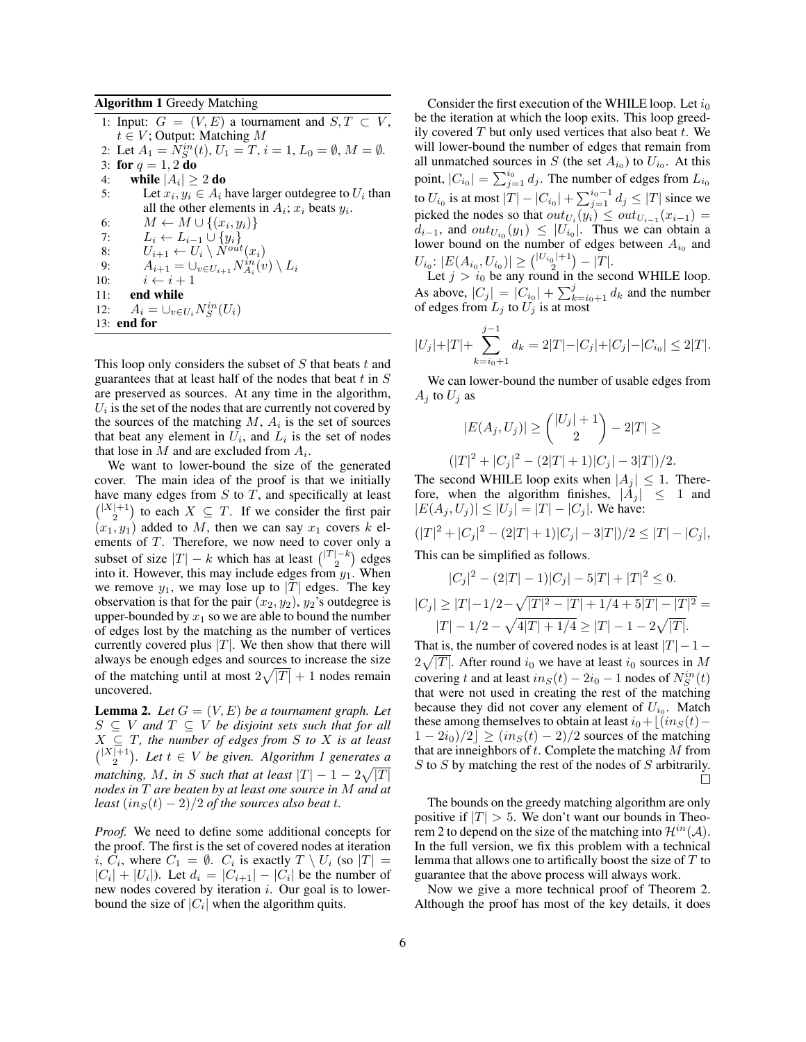Algorithm 1 Greedy Matching

1: Input:  $G = (V, E)$  a tournament and  $S, T \subset V$ ,  $t \in V$ ; Output: Matching M 2: Let  $A_1 = N_S^{in}(t), U_1 = T, i = 1, L_0 = \emptyset, M = \emptyset.$ 3: for  $q = 1, 2$  do 4: while  $|A_i| \geq 2$  do 5: Let  $x_i, y_i \in A_i$  have larger outdegree to  $U_i$  than all the other elements in  $A_i$ ;  $x_i$  beats  $y_i$ . 6:  $M \leftarrow M \cup \{(x_i, y_i)\}$ 7:  $L_i \leftarrow L_{i-1} \cup \{y_i\}$ <br>8:  $U_{i+1} \leftarrow U_i \setminus N^{out}$ 8:  $U_{i+1} \leftarrow U_i \setminus N^{out}(x_i)$ <br>9:  $A_{i+1} = \bigcup_{v \in U_{i+1}} N^{in}_{A_i}(v_i)$ 9:  $A_{i+1} = \bigcup_{v \in U_{i+1}} N_{A_i}^{in}(v) \setminus L_i$ 10:  $i \leftarrow i + 1$ <br>11: **end while** end while 12:  $A_i = \bigcup_{v \in U_i} N_S^{in}(U_i)$ 13: end for

This loop only considers the subset of  $S$  that beats  $t$  and guarantees that at least half of the nodes that beat  $t$  in  $S$ are preserved as sources. At any time in the algorithm,  $U_i$  is the set of the nodes that are currently not covered by the sources of the matching  $M$ ,  $A_i$  is the set of sources that beat any element in  $U_i$ , and  $L_i$  is the set of nodes that lose in  $M$  and are excluded from  $A_i$ .

We want to lower-bound the size of the generated cover. The main idea of the proof is that we initially have many edges from  $S$  to  $T$ , and specifically at least  $\binom{|X|+1}{2}$  to each  $X \subseteq T$ . If we consider the first pair  $(x_1, y_1)$  added to M, then we can say  $x_1$  covers k elements of T. Therefore, we now need to cover only a subset of size  $|T| - k$  which has at least  $\binom{|T| - k}{2}$  edges into it. However, this may include edges from  $y_1$ . When we remove  $y_1$ , we may lose up to |T| edges. The key observation is that for the pair  $(x_2, y_2)$ ,  $y_2$ 's outdegree is upper-bounded by  $x_1$  so we are able to bound the number of edges lost by the matching as the number of vertices currently covered plus  $|T|$ . We then show that there will always be enough edges and sources to increase the size of the matching until at most  $2\sqrt{|T|} + 1$  nodes remain uncovered.

**Lemma 2.** Let  $G = (V, E)$  be a tournament graph. Let  $S \subseteq V$  and  $T \subseteq V$  be disjoint sets such that for all  $X \subseteq T$ , the number of edges from S to X is at least  $\binom{|X|+1}{2}$ . Let  $t \in V$  be given. Algorithm 1 generates a *matching, M, in* S *such that at least*  $|T| - 1 - 2\sqrt{|T|}$ *nodes in* T *are beaten by at least one source in* M *and at least*  $(in<sub>S</sub>(t) - 2)/2$  *of the sources also beat t.* 

*Proof.* We need to define some additional concepts for the proof. The first is the set of covered nodes at iteration i,  $C_i$ , where  $C_1 = \emptyset$ .  $C_i$  is exactly  $T \setminus U_i$  (so  $|T| =$  $|C_i| + |U_i|$ ). Let  $d_i = |C_{i+1}| - |C_i|$  be the number of new nodes covered by iteration  $i$ . Our goal is to lowerbound the size of  $|C_i|$  when the algorithm quits.

Consider the first execution of the WHILE loop. Let  $i_0$ be the iteration at which the loop exits. This loop greedily covered  $T$  but only used vertices that also beat  $t$ . We will lower-bound the number of edges that remain from all unmatched sources in S (the set  $A_{i_0}$ ) to  $U_{i_0}$ . At this point,  $|C_{i_0}| = \sum_{j=1}^{i_0} d_j$ . The number of edges from  $L_{i_0}$ to  $U_{i_0}$  is at most  $|T| - |C_{i_0}| + \sum_{j=1}^{i_0-1} d_j \le |T|$  since we picked the nodes so that  $out_{U_i}(y_i) \leq out_{U_{i-1}}(x_{i-1}) =$  $d_{i-1}$ , and  $out_{U_{i_0}}(y_1) \leq |U_{i_0}|$ . Thus we can obtain a lower bound on the number of edges between  $A_{i_0}$  and  $U_{i_0}: |E(A_{i_0}, U_{i_0})| \geq {\binom{|U_{i_0}|+1}{2}}$  $\binom{D}{2}$  =  $|T|.$ 

Let  $j > i_0$  be any round in the second WHILE loop. As above,  $|C_j| = |C_{i_0}| + \sum_{k=i_0+1}^{j} d_k$  and the number of edges from  $L_j$  to  $U_j$  is at most

$$
|U_j| + |T| + \sum_{k=i_0+1}^{j-1} d_k = 2|T| - |C_j| + |C_j| - |C_{i_0}| \le 2|T|.
$$

We can lower-bound the number of usable edges from  $A_i$  to  $U_i$  as

$$
|E(A_j, U_j)| \geq {\binom{|U_j| + 1}{2}} - 2|T| \geq
$$
  

$$
(|T|^2 + |C_j|^2 - (2|T| + 1)|C_j| - 3|T|)/2.
$$

The second WHILE loop exits when  $|A_j| \leq 1$ . Therefore, when the algorithm finishes,  $|A_j| \leq 1$  and  $|E(A_i, U_j)| \leq |U_j| = |T| - |C_j|$ . We have:

$$
(|T|^2 + |C_j|^2 - (2|T| + 1)|C_j| - 3|T|)/2 \le |T| - |C_j|,
$$

This can be simplified as follows.

$$
|C_j|^2 - (2|T| - 1)|C_j| - 5|T| + |T|^2 \le 0.
$$
  

$$
|C_j| \ge |T| - 1/2 - \sqrt{|T|^2 - |T| + 1/4 + 5|T| - |T|^2} =
$$
  

$$
|T| - 1/2 - \sqrt{4|T| + 1/4} \ge |T| - 1 - 2\sqrt{|T|}.
$$

That is, the number of covered nodes is at least  $|T| - 1 2\sqrt{|T|}$ . After round  $i_0$  we have at least  $i_0$  sources in M covering t and at least  $in_S(t) - 2i_0 - 1$  nodes of  $N_S^{in}(t)$ that were not used in creating the rest of the matching because they did not cover any element of  $U_{i_0}$ . Match these among themselves to obtain at least  $i_0+[(in_S(t)-\mathcal{O}(\log(n)))$  $1 - 2i_0/2 \leq (i n<sub>S</sub>(t) - 2)/2$  sources of the matching that are inneighbors of  $t$ . Complete the matching  $M$  from S to S by matching the rest of the nodes of S arbitrarily. П

The bounds on the greedy matching algorithm are only positive if  $|T| > 5$ . We don't want our bounds in Theorem 2 to depend on the size of the matching into  $\mathcal{H}^{in}(\mathcal{A})$ . In the full version, we fix this problem with a technical lemma that allows one to artifically boost the size of  $T$  to guarantee that the above process will always work.

Now we give a more technical proof of Theorem 2. Although the proof has most of the key details, it does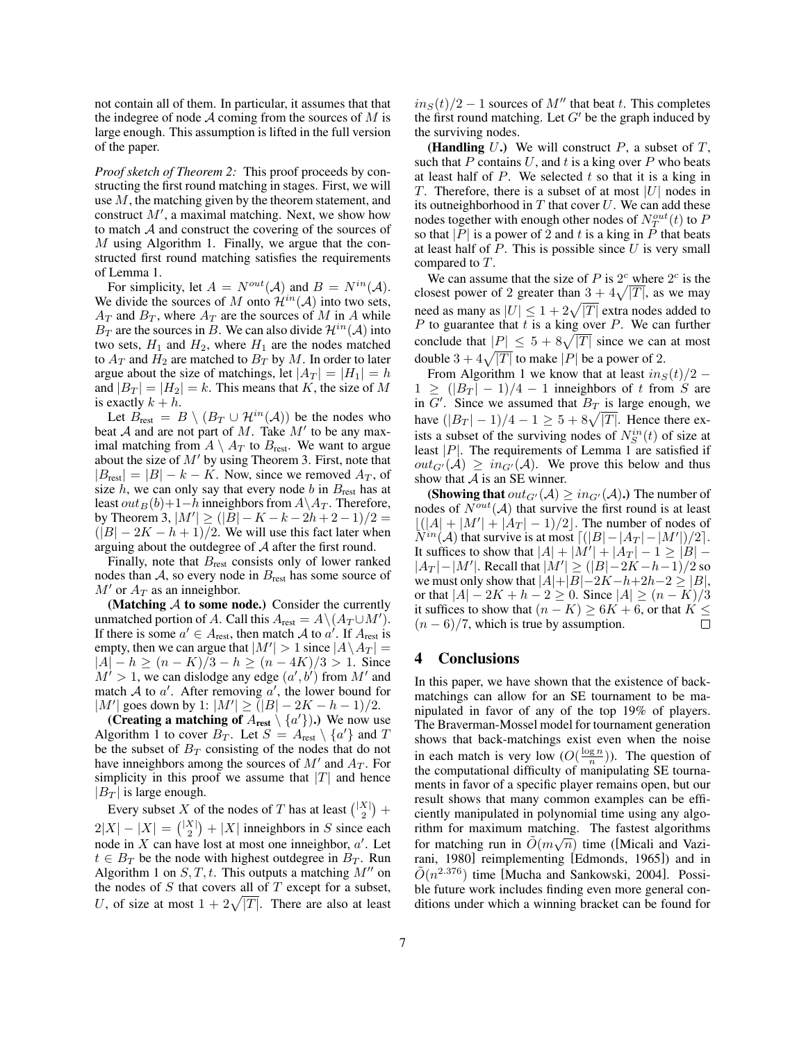not contain all of them. In particular, it assumes that that the indegree of node  $A$  coming from the sources of  $M$  is large enough. This assumption is lifted in the full version of the paper.

*Proof sketch of Theorem 2:* This proof proceeds by constructing the first round matching in stages. First, we will use M, the matching given by the theorem statement, and construct  $M'$ , a maximal matching. Next, we show how to match A and construct the covering of the sources of M using Algorithm 1. Finally, we argue that the constructed first round matching satisfies the requirements of Lemma 1.

For simplicity, let  $A = N^{out}(\mathcal{A})$  and  $B = N^{in}(\mathcal{A})$ . We divide the sources of M onto  $\mathcal{H}^{in}(\mathcal{A})$  into two sets,  $A_T$  and  $B_T$ , where  $A_T$  are the sources of M in A while  $B_T$  are the sources in B. We can also divide  $\mathcal{H}^{in}(\mathcal{A})$  into two sets,  $H_1$  and  $H_2$ , where  $H_1$  are the nodes matched to  $A_T$  and  $H_2$  are matched to  $B_T$  by M. In order to later argue about the size of matchings, let  $|A_T| = |H_1| = h$ and  $|B_T| = |H_2| = k$ . This means that K, the size of M is exactly  $k + h$ .

Let  $B_{\text{rest}} = B \setminus (B_T \cup \mathcal{H}^{in}(\mathcal{A}))$  be the nodes who beat  $A$  and are not part of  $M$ . Take  $M'$  to be any maximal matching from  $A \setminus A_T$  to  $B_{\text{rest}}$ . We want to argue about the size of  $M'$  by using Theorem 3. First, note that  $|B_{\text{rest}}| = |B| - k - K$ . Now, since we removed  $A_T$ , of size  $h$ , we can only say that every node  $b$  in  $B_{\text{rest}}$  has at least  $out_B(b)+1-h$  inneighbors from  $A\A_T$ . Therefore, by Theorem 3,  $|M'| \geq (|\overline{B}| - K - k - 2h + 2 - 1)/2 =$  $(|B| - 2K - h + 1)/2$ . We will use this fact later when arguing about the outdegree of A after the first round.

Finally, note that  $B_{\text{rest}}$  consists only of lower ranked nodes than  $A$ , so every node in  $B_{\text{rest}}$  has some source of  $M'$  or  $A_T$  as an inneighbor.

(Matching  $A$  to some node.) Consider the currently unmatched portion of A. Call this  $A_{\text{rest}} = A \setminus (A_T \cup M').$ If there is some  $a' \in A_{\text{rest}}$ , then match A to  $a'$ . If  $A_{\text{rest}}$  is empty, then we can argue that  $|M'| > 1$  since  $|A \setminus A_T| =$  $|A| - h \ge (n - K)/3 - h \ge (n - 4K)/3 > 1$ . Since  $M' > 1$ , we can dislodge any edge  $(a', b')$  from M' and match A to a'. After removing a', the lower bound for |M'| goes down by 1:  $|M'| \ge |I|| - 2K - h - 1|/2$ .

(Creating a matching of  $A_{\text{rest}} \setminus \{a'\}$ ).) We now use Algorithm 1 to cover  $B_T$ . Let  $S = A_{\text{rest}} \setminus \{a'\}$  and T be the subset of  $B_T$  consisting of the nodes that do not have inneighbors among the sources of  $M'$  and  $A_T$ . For simplicity in this proof we assume that  $|T|$  and hence  $|B_T|$  is large enough.

Every subset X of the nodes of T has at least  $\binom{|X|}{2}$  +  $2|X| - |X| = { |X| \choose 2} + |X|$  inneighbors in S since each node in X can have lost at most one inneighbor,  $a'$ . Let  $t \in B_T$  be the node with highest outdegree in  $B_T$ . Run Algorithm 1 on  $S, T, t$ . This outputs a matching  $M''$  on the nodes of  $S$  that covers all of  $T$  except for a subset, U, of size at most  $1 + 2\sqrt{|T|}$ . There are also at least

 $in_S(t)/2 - 1$  sources of M'' that beat t. This completes the first round matching. Let  $G'$  be the graph induced by the surviving nodes.

(Handling  $U$ .) We will construct  $P$ , a subset of  $T$ , such that P contains U, and t is a king over P who beats at least half of  $P$ . We selected  $t$  so that it is a king in T. Therefore, there is a subset of at most  $|U|$  nodes in its outneighborhood in  $T$  that cover  $U$ . We can add these nodes together with enough other nodes of  $N_T^{out}(t)$  to  $P$ so that |P| is a power of 2 and t is a king in P that beats at least half of  $P$ . This is possible since  $U$  is very small compared to T.

We can assume that the size of P is  $2^c$  where  $2^c$  is the closest power of 2 greater than  $\frac{3+4\sqrt{|T|}}{n}$ , as we may need as many as  $|U| \leq 1 + 2\sqrt{|T|}$  extra nodes added to  $P$  to guarantee that  $t$  is a king over  $P$ . We can further conclude that  $|P| \le 5 + 8\sqrt{|T|}$  since we can at most double  $3 + 4\sqrt{|T|}$  to make |P| be a power of 2.

From Algorithm 1 we know that at least  $in_S(t)/2$  –  $1 \geq (|B_T| - 1)/4 - 1$  inneighbors of t from S are in  $G'$ . Since we assumed that  $B_T$  is large enough, we have  $(|B_T| - 1)/4 - 1 \ge 5 + 8\sqrt{|T|}$ . Hence there exists a subset of the surviving nodes of  $N_S^{in}(t)$  of size at least  $|P|$ . The requirements of Lemma 1 are satisfied if  $out_{G'}(A) > in_{G'}(A)$ . We prove this below and thus show that  $A$  is an SE winner.

(Showing that  $out_{G'}(\mathcal{A}) \geq in_{G'}(\mathcal{A})$ .) The number of nodes of  $N^{out}(\mathcal{A})$  that survive the first round is at least  $\lfloor (|A| + |M'| + |A_T| - 1)/2 \rfloor$ . The number of nodes of  $\widetilde{N}^{in}(\mathcal{A})$  that survive is at most  $\lceil (|B| - |A_T| - |M'|)/2 \rceil$ . It suffices to show that  $|A| + |M'| + |A_T| - 1 \ge |B| |A_T| - |M'|$ . Recall that  $|M'| \geq (|B| - 2K - h - 1)/2$  so we must only show that  $|A|+|B|-2K-h+2h-2\geq |B|$ , or that  $|A| - 2K + h - 2 \ge 0$ . Since  $|A| \ge (n - K)/3$ it suffices to show that  $(n - K) \ge 6K + 6$ , or that  $K \le (n - 6)/7$ , which is true by assumption. □  $(n-6)/7$ , which is true by assumption.

## 4 Conclusions

In this paper, we have shown that the existence of backmatchings can allow for an SE tournament to be manipulated in favor of any of the top 19% of players. The Braverman-Mossel model for tournament generation shows that back-matchings exist even when the noise in each match is very low  $(O(\frac{\log n}{n}))$ . The question of the computational difficulty of manipulating SE tournaments in favor of a specific player remains open, but our result shows that many common examples can be efficiently manipulated in polynomial time using any algorithm for maximum matching. The fastest algorithms for matching run in  $\tilde{O}(m\sqrt{n})$  time ([Micali and Vazirani, 1980] reimplementing [Edmonds, 1965]) and in  $\tilde{O}(n^{2.376})$  time [Mucha and Sankowski, 2004]. Possible future work includes finding even more general conditions under which a winning bracket can be found for